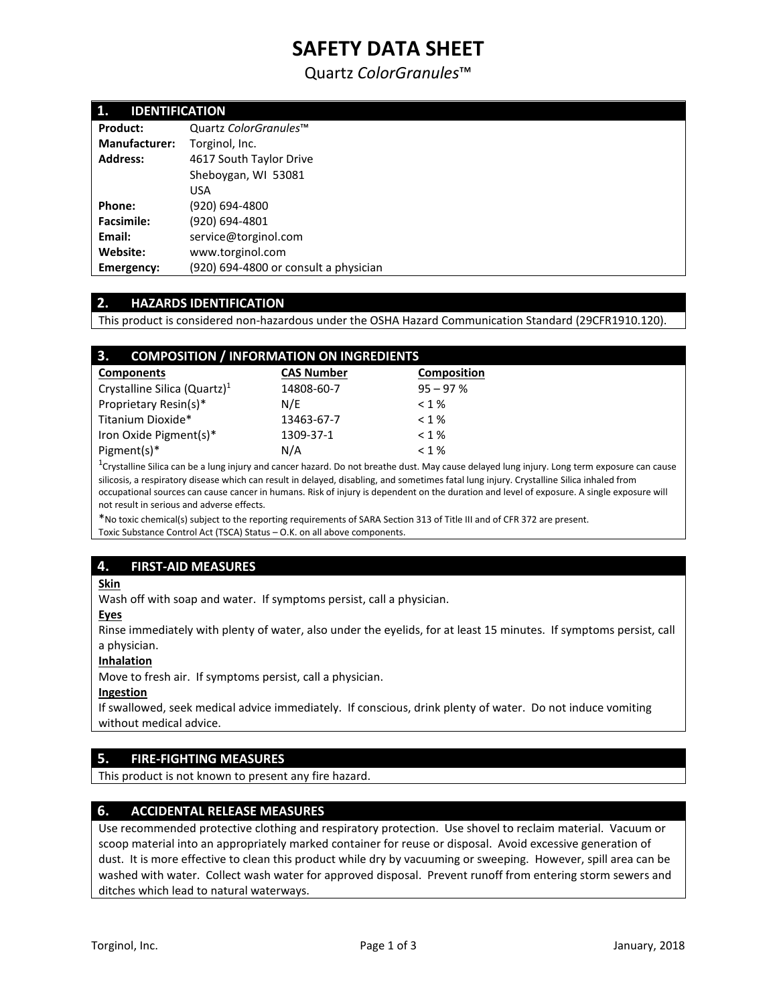# **SAFETY DATA SHEET**

Quartz *ColorGranules*™

| 1.<br><b>IDENTIFICATION</b> |                                       |  |
|-----------------------------|---------------------------------------|--|
| <b>Product:</b>             | Quartz ColorGranules™                 |  |
| <b>Manufacturer:</b>        | Torginol, Inc.                        |  |
| <b>Address:</b>             | 4617 South Taylor Drive               |  |
|                             | Sheboygan, WI 53081                   |  |
|                             | <b>USA</b>                            |  |
| Phone:                      | (920) 694-4800                        |  |
| <b>Facsimile:</b>           | (920) 694-4801                        |  |
| Email:                      | service@torginol.com                  |  |
| Website:                    | www.torginol.com                      |  |
| <b>Emergency:</b>           | (920) 694-4800 or consult a physician |  |

## **2. HAZARDS IDENTIFICATION**

This product is considered non-hazardous under the OSHA Hazard Communication Standard (29CFR1910.120).

| 3.<br><b>COMPOSITION / INFORMATION ON INGREDIENTS</b> |                   |                    |  |  |
|-------------------------------------------------------|-------------------|--------------------|--|--|
| <b>Components</b>                                     | <b>CAS Number</b> | <b>Composition</b> |  |  |
| Crystalline Silica (Quartz) <sup>1</sup>              | 14808-60-7        | $95 - 97%$         |  |  |
| Proprietary Resin(s)*                                 | N/E               | $< 1 \%$           |  |  |
| Titanium Dioxide*                                     | 13463-67-7        | $< 1\%$            |  |  |
| Iron Oxide Pigment(s)*                                | 1309-37-1         | < 1%               |  |  |
| Pigment(s)*                                           | N/A               | < 1%               |  |  |

<sup>1</sup>Crystalline Silica can be a lung injury and cancer hazard. Do not breathe dust. May cause delayed lung injury. Long term exposure can cause silicosis, a respiratory disease which can result in delayed, disabling, and sometimes fatal lung injury. Crystalline Silica inhaled from occupational sources can cause cancer in humans. Risk of injury is dependent on the duration and level of exposure. A single exposure will not result in serious and adverse effects.

\*No toxic chemical(s) subject to the reporting requirements of SARA Section 313 of Title III and of CFR 372 are present. Toxic Substance Control Act (TSCA) Status – O.K. on all above components.

# **4. FIRST-AID MEASURES**

#### **Skin**

Wash off with soap and water. If symptoms persist, call a physician.

#### **Eyes**

Rinse immediately with plenty of water, also under the eyelids, for at least 15 minutes. If symptoms persist, call a physician.

#### **Inhalation**

Move to fresh air. If symptoms persist, call a physician.

#### **Ingestion**

If swallowed, seek medical advice immediately. If conscious, drink plenty of water. Do not induce vomiting without medical advice.

## **5. FIRE-FIGHTING MEASURES**

This product is not known to present any fire hazard.

## **6. ACCIDENTAL RELEASE MEASURES**

Use recommended protective clothing and respiratory protection. Use shovel to reclaim material. Vacuum or scoop material into an appropriately marked container for reuse or disposal. Avoid excessive generation of dust. It is more effective to clean this product while dry by vacuuming or sweeping. However, spill area can be washed with water. Collect wash water for approved disposal. Prevent runoff from entering storm sewers and ditches which lead to natural waterways.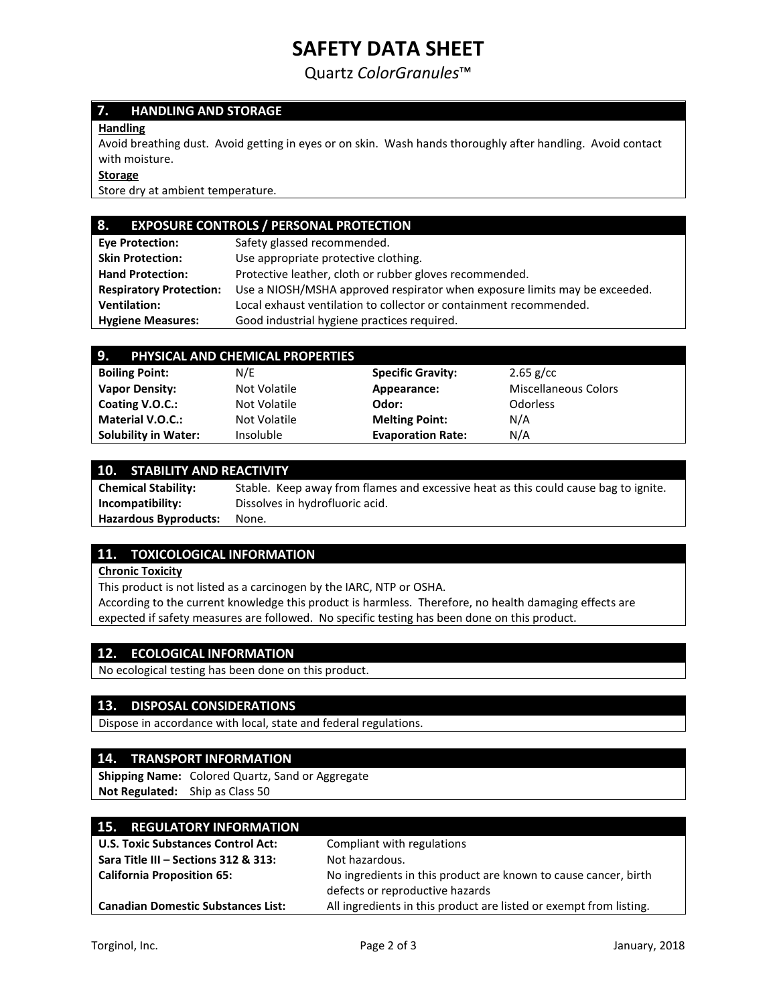# **SAFETY DATA SHEET**

Quartz *ColorGranules*™

# **7. HANDLING AND STORAGE**

### **Handling**

Avoid breathing dust. Avoid getting in eyes or on skin. Wash hands thoroughly after handling. Avoid contact with moisture.

#### **Storage**

Store dry at ambient temperature.

# **8. EXPOSURE CONTROLS / PERSONAL PROTECTION**

| <b>Eve Protection:</b>         | Safety glassed recommended.                                                |  |
|--------------------------------|----------------------------------------------------------------------------|--|
| <b>Skin Protection:</b>        | Use appropriate protective clothing.                                       |  |
| <b>Hand Protection:</b>        | Protective leather, cloth or rubber gloves recommended.                    |  |
| <b>Respiratory Protection:</b> | Use a NIOSH/MSHA approved respirator when exposure limits may be exceeded. |  |
| <b>Ventilation:</b>            | Local exhaust ventilation to collector or containment recommended.         |  |
| <b>Hygiene Measures:</b>       | Good industrial hygiene practices required.                                |  |

| 9.<br>PHYSICAL AND CHEMICAL PROPERTIES |              |                          |                             |  |
|----------------------------------------|--------------|--------------------------|-----------------------------|--|
| <b>Boiling Point:</b>                  | N/E          | <b>Specific Gravity:</b> | $2.65$ g/cc                 |  |
| <b>Vapor Density:</b>                  | Not Volatile | Appearance:              | <b>Miscellaneous Colors</b> |  |
| Coating V.O.C.:                        | Not Volatile | Odor:                    | Odorless                    |  |
| <b>Material V.O.C.:</b>                | Not Volatile | <b>Melting Point:</b>    | N/A                         |  |
| <b>Solubility in Water:</b>            | Insoluble    | <b>Evaporation Rate:</b> | N/A                         |  |

#### **10. STABILITY AND REACTIVITY**

| <b>Chemical Stability:</b>   | Stable. Keep away from flames and excessive heat as this could cause bag to ignite. |
|------------------------------|-------------------------------------------------------------------------------------|
| Incompatibility:             | Dissolves in hydrofluoric acid.                                                     |
| <b>Hazardous Byproducts:</b> | None.                                                                               |

## **11. TOXICOLOGICAL INFORMATION**

#### **Chronic Toxicity**

This product is not listed as a carcinogen by the IARC, NTP or OSHA.

According to the current knowledge this product is harmless. Therefore, no health damaging effects are expected if safety measures are followed. No specific testing has been done on this product.

## **12. ECOLOGICAL INFORMATION**

No ecological testing has been done on this product.

## **13. DISPOSAL CONSIDERATIONS**

Dispose in accordance with local, state and federal regulations.

#### **14. TRANSPORT INFORMATION**

**Shipping Name:** Colored Quartz, Sand or Aggregate **Not Regulated:** Ship as Class 50

| <b>15. REGULATORY INFORMATION</b>         |                                                                    |
|-------------------------------------------|--------------------------------------------------------------------|
| <b>U.S. Toxic Substances Control Act:</b> | Compliant with regulations                                         |
| Sara Title III - Sections 312 & 313:      | Not hazardous.                                                     |
| <b>California Proposition 65:</b>         | No ingredients in this product are known to cause cancer, birth    |
|                                           | defects or reproductive hazards                                    |
| <b>Canadian Domestic Substances List:</b> | All ingredients in this product are listed or exempt from listing. |